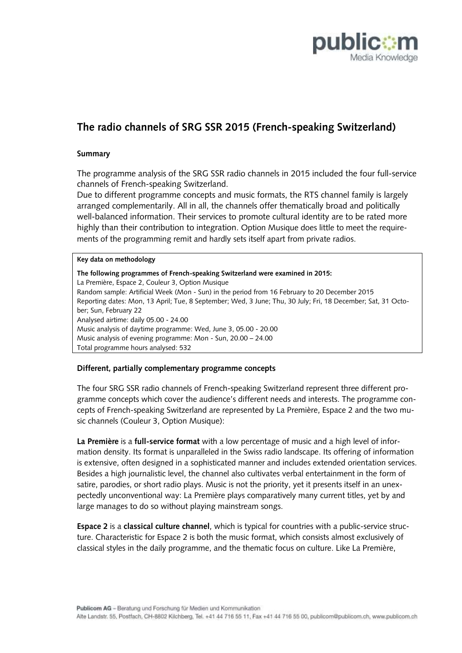

# **The radio channels of SRG SSR 2015 (French-speaking Switzerland)**

# **Summary**

The programme analysis of the SRG SSR radio channels in 2015 included the four full-service channels of French-speaking Switzerland.

Due to different programme concepts and music formats, the RTS channel family is largely arranged complementarily. All in all, the channels offer thematically broad and politically well-balanced information. Their services to promote cultural identity are to be rated more highly than their contribution to integration. Option Musique does little to meet the requirements of the programming remit and hardly sets itself apart from private radios.

#### **Key data on methodology**

| The following programmes of French-speaking Switzerland were examined in 2015:<br>La Première, Espace 2, Couleur 3, Option Musique |
|------------------------------------------------------------------------------------------------------------------------------------|
| Random sample: Artificial Week (Mon - Sun) in the period from 16 February to 20 December 2015                                      |
| Reporting dates: Mon, 13 April; Tue, 8 September; Wed, 3 June; Thu, 30 July; Fri, 18 December; Sat, 31 Octo-                       |
| ber; Sun, February 22                                                                                                              |
| Analysed airtime: daily 05.00 - 24.00                                                                                              |
| Music analysis of daytime programme: Wed, June 3, 05.00 - 20.00                                                                    |
| Music analysis of evening programme: Mon - Sun, 20.00 - 24.00                                                                      |
| Total programme hours analysed: 532                                                                                                |

#### **Different, partially complementary programme concepts**

The four SRG SSR radio channels of French-speaking Switzerland represent three different programme concepts which cover the audience's different needs and interests. The programme concepts of French-speaking Switzerland are represented by La Première, Espace 2 and the two music channels (Couleur 3, Option Musique):

**La Première** is a **full-service format** with a low percentage of music and a high level of information density. Its format is unparalleled in the Swiss radio landscape. Its offering of information is extensive, often designed in a sophisticated manner and includes extended orientation services. Besides a high journalistic level, the channel also cultivates verbal entertainment in the form of satire, parodies, or short radio plays. Music is not the priority, yet it presents itself in an unexpectedly unconventional way: La Première plays comparatively many current titles, yet by and large manages to do so without playing mainstream songs.

**Espace 2** is a **classical culture channel**, which is typical for countries with a public-service structure. Characteristic for Espace 2 is both the music format, which consists almost exclusively of classical styles in the daily programme, and the thematic focus on culture. Like La Première,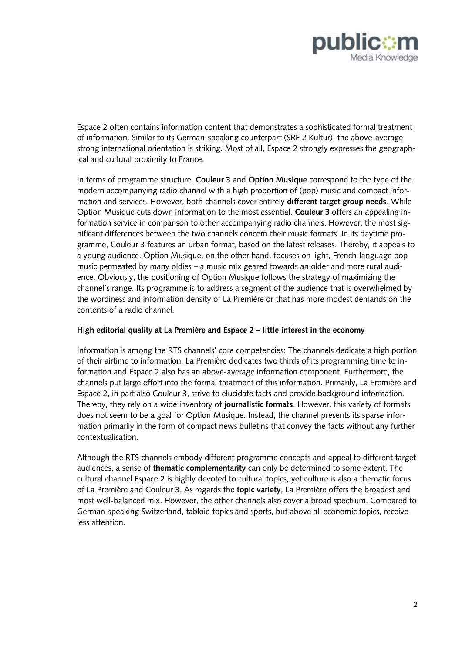

Espace 2 often contains information content that demonstrates a sophisticated formal treatment of information. Similar to its German-speaking counterpart (SRF 2 Kultur), the above-average strong international orientation is striking. Most of all, Espace 2 strongly expresses the geographical and cultural proximity to France.

In terms of programme structure, **Couleur 3** and **Option Musique** correspond to the type of the modern accompanying radio channel with a high proportion of (pop) music and compact information and services. However, both channels cover entirely **different target group needs**. While Option Musique cuts down information to the most essential, **Couleur 3** offers an appealing information service in comparison to other accompanying radio channels. However, the most significant differences between the two channels concern their music formats. In its daytime programme, Couleur 3 features an urban format, based on the latest releases. Thereby, it appeals to a young audience. Option Musique, on the other hand, focuses on light, French-language pop music permeated by many oldies – a music mix geared towards an older and more rural audience. Obviously, the positioning of Option Musique follows the strategy of maximizing the channel's range. Its programme is to address a segment of the audience that is overwhelmed by the wordiness and information density of La Première or that has more modest demands on the contents of a radio channel.

# **High editorial quality at La Première and Espace 2 – little interest in the economy**

Information is among the RTS channels' core competencies: The channels dedicate a high portion of their airtime to information. La Première dedicates two thirds of its programming time to information and Espace 2 also has an above-average information component. Furthermore, the channels put large effort into the formal treatment of this information. Primarily, La Première and Espace 2, in part also Couleur 3, strive to elucidate facts and provide background information. Thereby, they rely on a wide inventory of **journalistic formats**. However, this variety of formats does not seem to be a goal for Option Musique. Instead, the channel presents its sparse information primarily in the form of compact news bulletins that convey the facts without any further contextualisation.

Although the RTS channels embody different programme concepts and appeal to different target audiences, a sense of **thematic complementarity** can only be determined to some extent. The cultural channel Espace 2 is highly devoted to cultural topics, yet culture is also a thematic focus of La Première and Couleur 3. As regards the **topic variety**, La Première offers the broadest and most well-balanced mix. However, the other channels also cover a broad spectrum. Compared to German-speaking Switzerland, tabloid topics and sports, but above all economic topics, receive less attention.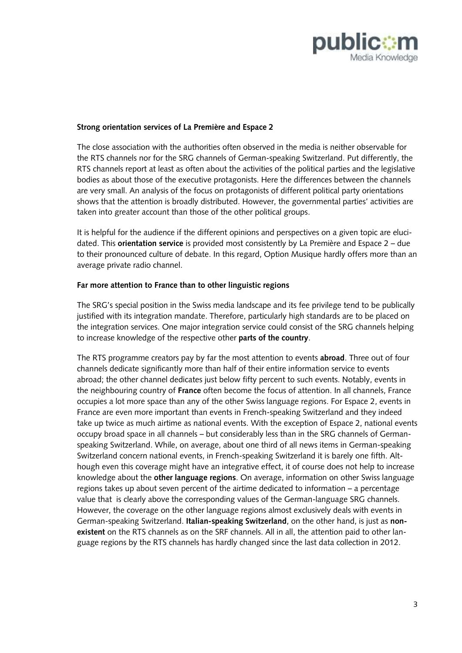

# **Strong orientation services of La Première and Espace 2**

The close association with the authorities often observed in the media is neither observable for the RTS channels nor for the SRG channels of German-speaking Switzerland. Put differently, the RTS channels report at least as often about the activities of the political parties and the legislative bodies as about those of the executive protagonists. Here the differences between the channels are very small. An analysis of the focus on protagonists of different political party orientations shows that the attention is broadly distributed. However, the governmental parties' activities are taken into greater account than those of the other political groups.

It is helpful for the audience if the different opinions and perspectives on a given topic are elucidated. This **orientation service** is provided most consistently by La Première and Espace 2 – due to their pronounced culture of debate. In this regard, Option Musique hardly offers more than an average private radio channel.

#### **Far more attention to France than to other linguistic regions**

The SRG's special position in the Swiss media landscape and its fee privilege tend to be publically justified with its integration mandate. Therefore, particularly high standards are to be placed on the integration services. One major integration service could consist of the SRG channels helping to increase knowledge of the respective other **parts of the country**.

The RTS programme creators pay by far the most attention to events **abroad**. Three out of four channels dedicate significantly more than half of their entire information service to events abroad; the other channel dedicates just below fifty percent to such events. Notably, events in the neighbouring country of **France** often become the focus of attention. In all channels, France occupies a lot more space than any of the other Swiss language regions. For Espace 2, events in France are even more important than events in French-speaking Switzerland and they indeed take up twice as much airtime as national events. With the exception of Espace 2, national events occupy broad space in all channels – but considerably less than in the SRG channels of Germanspeaking Switzerland. While, on average, about one third of all news items in German-speaking Switzerland concern national events, in French-speaking Switzerland it is barely one fifth. Although even this coverage might have an integrative effect, it of course does not help to increase knowledge about the **other language regions**. On average, information on other Swiss language regions takes up about seven percent of the airtime dedicated to information – a percentage value that is clearly above the corresponding values of the German-language SRG channels. However, the coverage on the other language regions almost exclusively deals with events in German-speaking Switzerland. **Italian-speaking Switzerland**, on the other hand, is just as **nonexistent** on the RTS channels as on the SRF channels. All in all, the attention paid to other language regions by the RTS channels has hardly changed since the last data collection in 2012.